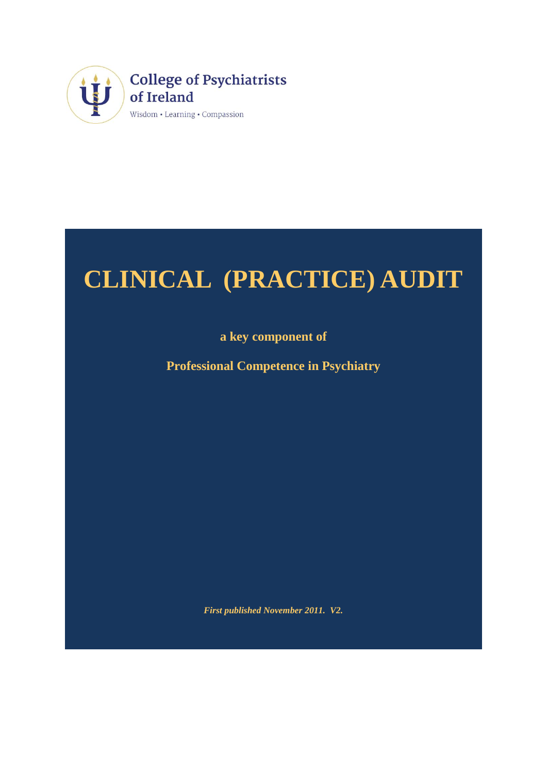

# **CLINICAL (PRACTICE) AUDIT**

**a key component of**

**Professional Competence in Psychiatry**

*First published November 2011. V2.*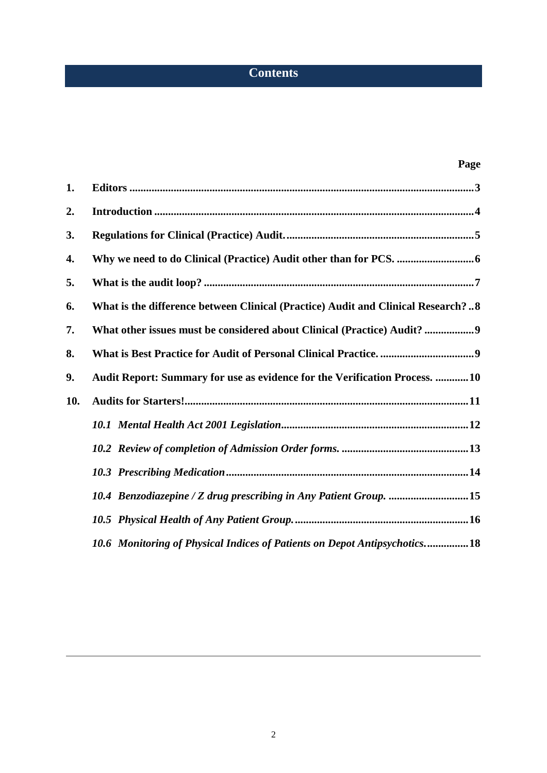# **Contents**

|     | Page                                                                              |  |  |
|-----|-----------------------------------------------------------------------------------|--|--|
| 1.  |                                                                                   |  |  |
| 2.  |                                                                                   |  |  |
| 3.  |                                                                                   |  |  |
| 4.  |                                                                                   |  |  |
| 5.  |                                                                                   |  |  |
| 6.  | What is the difference between Clinical (Practice) Audit and Clinical Research? 8 |  |  |
| 7.  | What other issues must be considered about Clinical (Practice) Audit? 9           |  |  |
| 8.  |                                                                                   |  |  |
| 9.  | Audit Report: Summary for use as evidence for the Verification Process. 10        |  |  |
| 10. |                                                                                   |  |  |
|     |                                                                                   |  |  |
|     |                                                                                   |  |  |
|     |                                                                                   |  |  |
|     | 15.4 Benzodiazepine / Z drug prescribing in Any Patient Group. 15                 |  |  |
|     |                                                                                   |  |  |
|     | 10.6 Monitoring of Physical Indices of Patients on Depot Antipsychotics18         |  |  |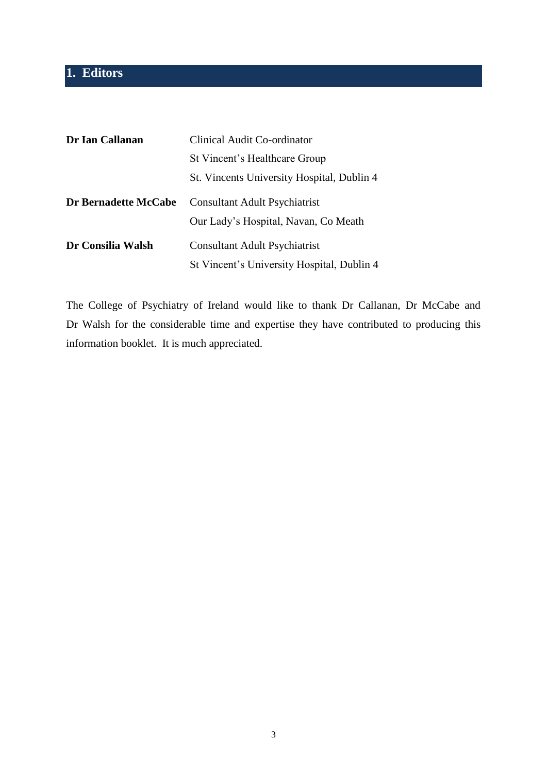# <span id="page-2-0"></span>**1. Editors**

| Dr Ian Callanan      | Clinical Audit Co-ordinator                |
|----------------------|--------------------------------------------|
|                      | St Vincent's Healthcare Group              |
|                      | St. Vincents University Hospital, Dublin 4 |
| Dr Bernadette McCabe | <b>Consultant Adult Psychiatrist</b>       |
|                      | Our Lady's Hospital, Navan, Co Meath       |
| Dr Consilia Walsh    | <b>Consultant Adult Psychiatrist</b>       |
|                      | St Vincent's University Hospital, Dublin 4 |

The College of Psychiatry of Ireland would like to thank Dr Callanan, Dr McCabe and Dr Walsh for the considerable time and expertise they have contributed to producing this information booklet. It is much appreciated.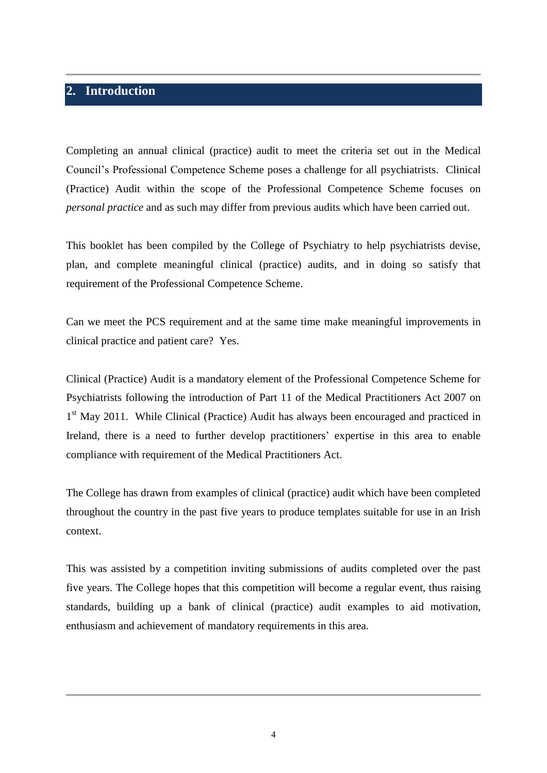#### <span id="page-3-0"></span>**2. Introduction**

Completing an annual clinical (practice) audit to meet the criteria set out in the Medical Council's Professional Competence Scheme poses a challenge for all psychiatrists. Clinical (Practice) Audit within the scope of the Professional Competence Scheme focuses on *personal practice* and as such may differ from previous audits which have been carried out.

This booklet has been compiled by the College of Psychiatry to help psychiatrists devise, plan, and complete meaningful clinical (practice) audits, and in doing so satisfy that requirement of the Professional Competence Scheme.

Can we meet the PCS requirement and at the same time make meaningful improvements in clinical practice and patient care? Yes.

Clinical (Practice) Audit is a mandatory element of the Professional Competence Scheme for Psychiatrists following the introduction of Part 11 of the Medical Practitioners Act 2007 on 1<sup>st</sup> May 2011. While Clinical (Practice) Audit has always been encouraged and practiced in Ireland, there is a need to further develop practitioners' expertise in this area to enable compliance with requirement of the Medical Practitioners Act.

The College has drawn from examples of clinical (practice) audit which have been completed throughout the country in the past five years to produce templates suitable for use in an Irish context.

This was assisted by a competition inviting submissions of audits completed over the past five years. The College hopes that this competition will become a regular event, thus raising standards, building up a bank of clinical (practice) audit examples to aid motivation, enthusiasm and achievement of mandatory requirements in this area.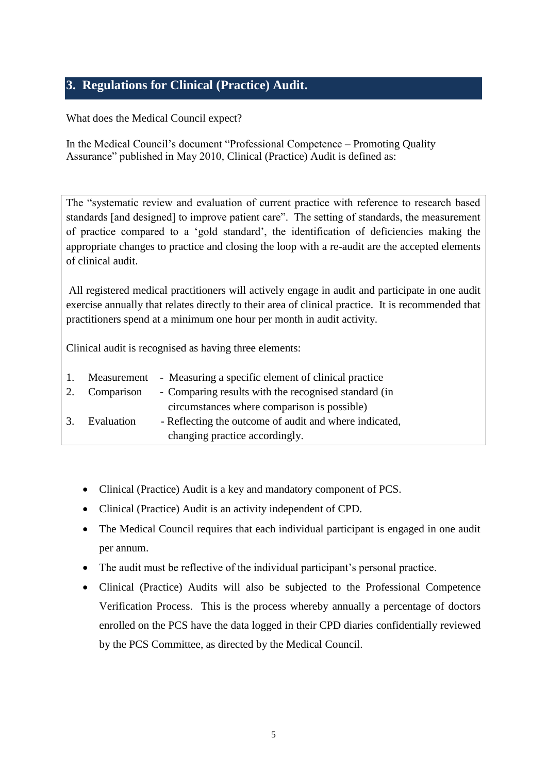# <span id="page-4-0"></span>**3. Regulations for Clinical (Practice) Audit.**

What does the Medical Council expect?

In the Medical Council's document "Professional Competence – Promoting Quality Assurance" published in May 2010, Clinical (Practice) Audit is defined as:

The "systematic review and evaluation of current practice with reference to research based standards [and designed] to improve patient care". The setting of standards, the measurement of practice compared to a 'gold standard', the identification of deficiencies making the appropriate changes to practice and closing the loop with a re-audit are the accepted elements of clinical audit.

All registered medical practitioners will actively engage in audit and participate in one audit exercise annually that relates directly to their area of clinical practice. It is recommended that practitioners spend at a minimum one hour per month in audit activity.

Clinical audit is recognised as having three elements:

| 1. | Measurement   | - Measuring a specific element of clinical practice    |
|----|---------------|--------------------------------------------------------|
|    | 2. Comparison | - Comparing results with the recognised standard (in   |
|    |               | circumstances where comparison is possible)            |
|    | 3. Evaluation | - Reflecting the outcome of audit and where indicated, |
|    |               | changing practice accordingly.                         |

- Clinical (Practice) Audit is a key and mandatory component of PCS.
- Clinical (Practice) Audit is an activity independent of CPD.
- The Medical Council requires that each individual participant is engaged in one audit per annum.
- The audit must be reflective of the individual participant's personal practice.
- Clinical (Practice) Audits will also be subjected to the Professional Competence Verification Process. This is the process whereby annually a percentage of doctors enrolled on the PCS have the data logged in their CPD diaries confidentially reviewed by the PCS Committee, as directed by the Medical Council.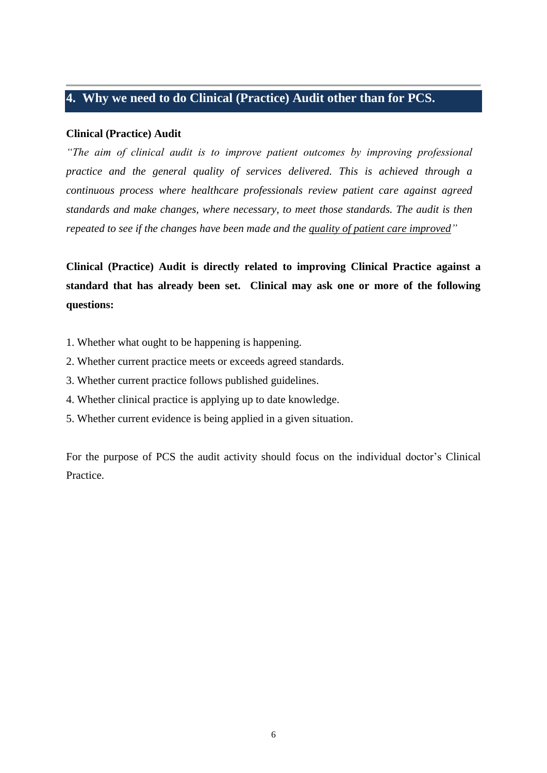## <span id="page-5-0"></span>**4. Why we need to do Clinical (Practice) Audit other than for PCS.**

#### **Clinical (Practice) Audit**

*"The aim of clinical audit is to improve patient outcomes by improving professional practice and the general quality of services delivered. This is achieved through a continuous process where healthcare professionals review patient care against agreed standards and make changes, where necessary, to meet those standards. The audit is then repeated to see if the changes have been made and the quality of patient care improved"* 

**Clinical (Practice) Audit is directly related to improving Clinical Practice against a standard that has already been set. Clinical may ask one or more of the following questions:**

- 1. Whether what ought to be happening is happening.
- 2. Whether current practice meets or exceeds agreed standards.
- 3. Whether current practice follows published guidelines.
- 4. Whether clinical practice is applying up to date knowledge.
- 5. Whether current evidence is being applied in a given situation.

For the purpose of PCS the audit activity should focus on the individual doctor's Clinical Practice.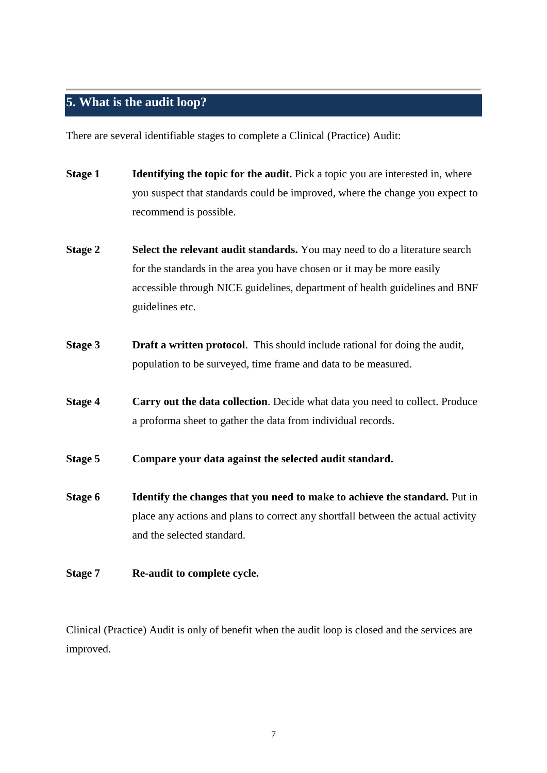# <span id="page-6-0"></span>**5. What is the audit loop?**

There are several identifiable stages to complete a Clinical (Practice) Audit:

- **Stage 1 Identifying the topic for the audit.** Pick a topic you are interested in, where you suspect that standards could be improved, where the change you expect to recommend is possible.
- **Stage 2 Select the relevant audit standards.** You may need to do a literature search for the standards in the area you have chosen or it may be more easily accessible through NICE guidelines, department of health guidelines and BNF guidelines etc.
- **Stage 3 Draft a written protocol**. This should include rational for doing the audit, population to be surveyed, time frame and data to be measured.
- **Stage 4 Carry out the data collection**. Decide what data you need to collect. Produce a proforma sheet to gather the data from individual records.
- **Stage 5 Compare your data against the selected audit standard.**
- **Stage 6 Identify the changes that you need to make to achieve the standard.** Put in place any actions and plans to correct any shortfall between the actual activity and the selected standard.
- **Stage 7 Re-audit to complete cycle.**

Clinical (Practice) Audit is only of benefit when the audit loop is closed and the services are improved.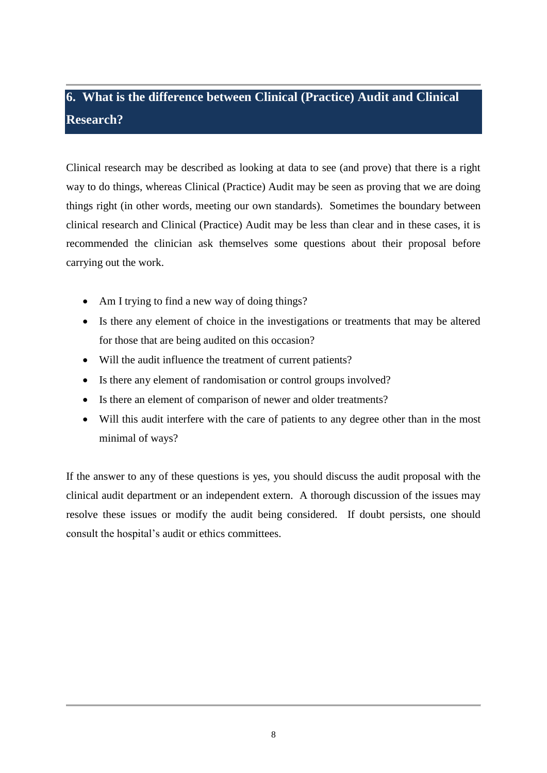# <span id="page-7-0"></span>**6. What is the difference between Clinical (Practice) Audit and Clinical Research?**

Clinical research may be described as looking at data to see (and prove) that there is a right way to do things, whereas Clinical (Practice) Audit may be seen as proving that we are doing things right (in other words, meeting our own standards). Sometimes the boundary between clinical research and Clinical (Practice) Audit may be less than clear and in these cases, it is recommended the clinician ask themselves some questions about their proposal before carrying out the work.

- Am I trying to find a new way of doing things?
- Is there any element of choice in the investigations or treatments that may be altered for those that are being audited on this occasion?
- Will the audit influence the treatment of current patients?
- Is there any element of randomisation or control groups involved?
- Is there an element of comparison of newer and older treatments?
- Will this audit interfere with the care of patients to any degree other than in the most minimal of ways?

If the answer to any of these questions is yes, you should discuss the audit proposal with the clinical audit department or an independent extern. A thorough discussion of the issues may resolve these issues or modify the audit being considered. If doubt persists, one should consult the hospital's audit or ethics committees.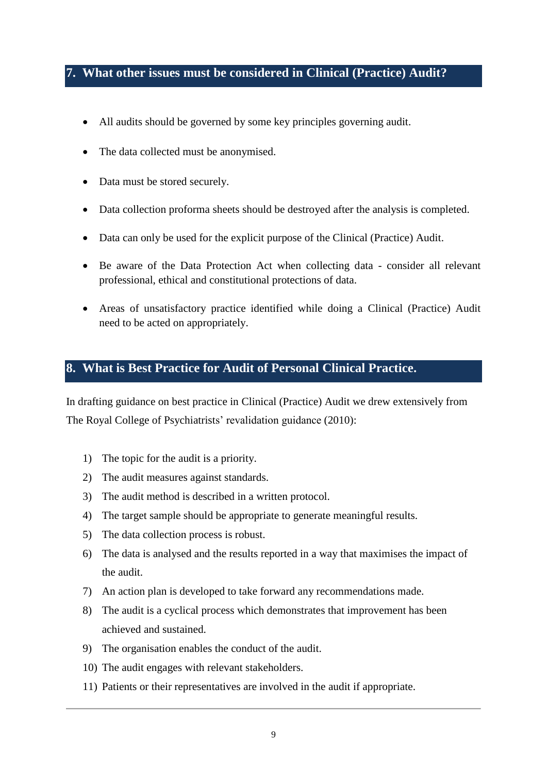## <span id="page-8-0"></span>**7. What other issues must be considered in Clinical (Practice) Audit?**

- All audits should be governed by some key principles governing audit.
- The data collected must be anonymised.
- Data must be stored securely.
- Data collection proforma sheets should be destroyed after the analysis is completed.
- Data can only be used for the explicit purpose of the Clinical (Practice) Audit.
- Be aware of the Data Protection Act when collecting data consider all relevant professional, ethical and constitutional protections of data.
- Areas of unsatisfactory practice identified while doing a Clinical (Practice) Audit need to be acted on appropriately.

## <span id="page-8-1"></span>**8. What is Best Practice for Audit of Personal Clinical Practice.**

In drafting guidance on best practice in Clinical (Practice) Audit we drew extensively from The Royal College of Psychiatrists' revalidation guidance (2010):

- 1) The topic for the audit is a priority.
- 2) The audit measures against standards.
- 3) The audit method is described in a written protocol.
- 4) The target sample should be appropriate to generate meaningful results.
- 5) The data collection process is robust.
- 6) The data is analysed and the results reported in a way that maximises the impact of the audit.
- 7) An action plan is developed to take forward any recommendations made.
- 8) The audit is a cyclical process which demonstrates that improvement has been achieved and sustained.
- 9) The organisation enables the conduct of the audit.
- 10) The audit engages with relevant stakeholders.
- 11) Patients or their representatives are involved in the audit if appropriate.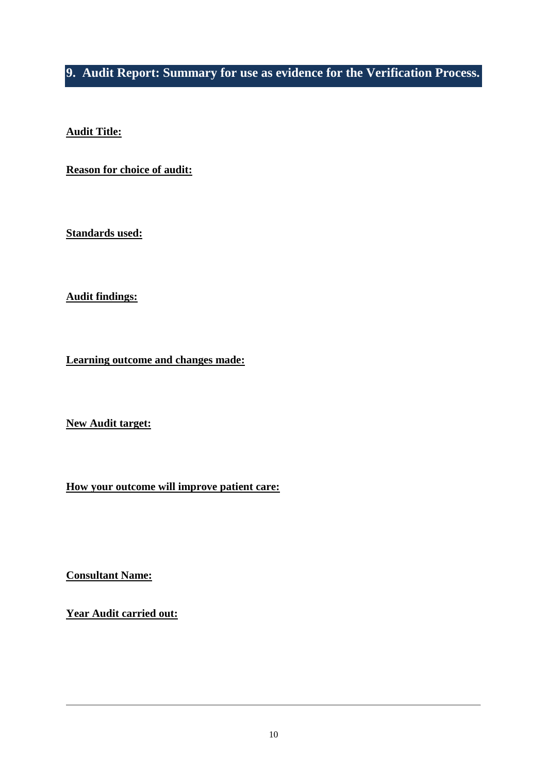<span id="page-9-0"></span>**9. Audit Report: Summary for use as evidence for the Verification Process.**

**Audit Title:**

**Reason for choice of audit:**

**Standards used:**

**Audit findings:**

**Learning outcome and changes made:**

**New Audit target:**

**How your outcome will improve patient care:**

**Consultant Name:**

**Year Audit carried out:**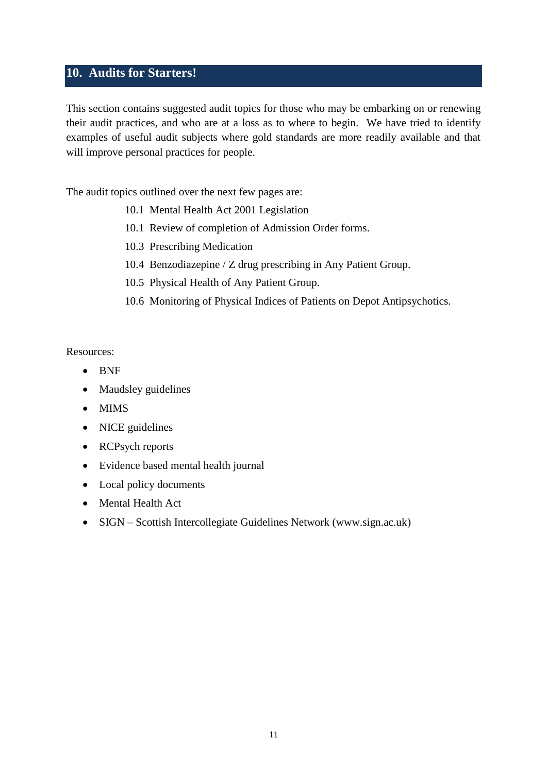# <span id="page-10-0"></span>**10. Audits for Starters!**

This section contains suggested audit topics for those who may be embarking on or renewing their audit practices, and who are at a loss as to where to begin. We have tried to identify examples of useful audit subjects where gold standards are more readily available and that will improve personal practices for people.

The audit topics outlined over the next few pages are:

- 10.1 Mental Health Act 2001 Legislation
- 10.1 Review of completion of Admission Order forms.
- 10.3 Prescribing Medication
- 10.4 Benzodiazepine / Z drug prescribing in Any Patient Group.
- 10.5 Physical Health of Any Patient Group.
- 10.6 Monitoring of Physical Indices of Patients on Depot Antipsychotics.

Resources:

- BNF
- Maudsley guidelines
- MIMS
- NICE guidelines
- RCPsych reports
- Evidence based mental health journal
- Local policy documents
- Mental Health Act
- SIGN Scottish Intercollegiate Guidelines Network (www.sign.ac.uk)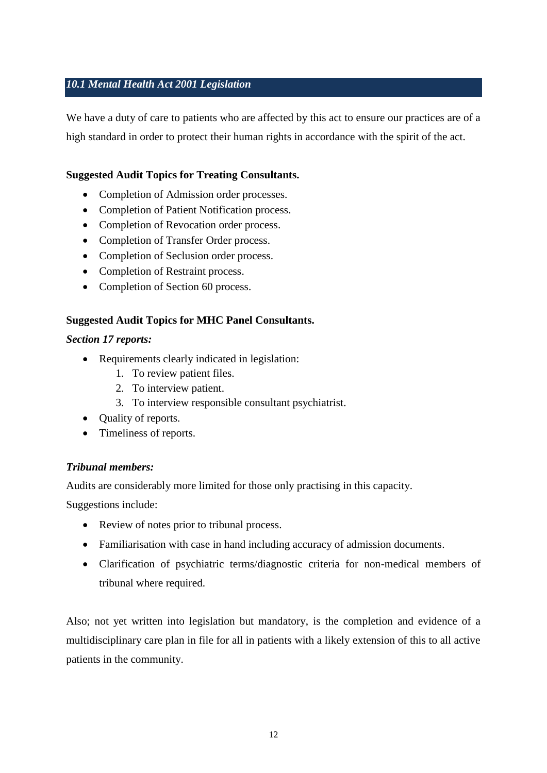#### <span id="page-11-0"></span>*10.1 Mental Health Act 2001 Legislation*

We have a duty of care to patients who are affected by this act to ensure our practices are of a high standard in order to protect their human rights in accordance with the spirit of the act.

#### **Suggested Audit Topics for Treating Consultants.**

- Completion of Admission order processes.
- Completion of Patient Notification process.
- Completion of Revocation order process.
- Completion of Transfer Order process.
- Completion of Seclusion order process.
- Completion of Restraint process.
- Completion of Section 60 process.

#### **Suggested Audit Topics for MHC Panel Consultants.**

#### *Section 17 reports:*

- Requirements clearly indicated in legislation:
	- 1. To review patient files.
	- 2. To interview patient.
	- 3. To interview responsible consultant psychiatrist.
- Ouality of reports.
- Timeliness of reports.

#### *Tribunal members:*

Audits are considerably more limited for those only practising in this capacity.

Suggestions include:

- Review of notes prior to tribunal process.
- Familiarisation with case in hand including accuracy of admission documents.
- Clarification of psychiatric terms/diagnostic criteria for non-medical members of tribunal where required.

Also; not yet written into legislation but mandatory, is the completion and evidence of a multidisciplinary care plan in file for all in patients with a likely extension of this to all active patients in the community.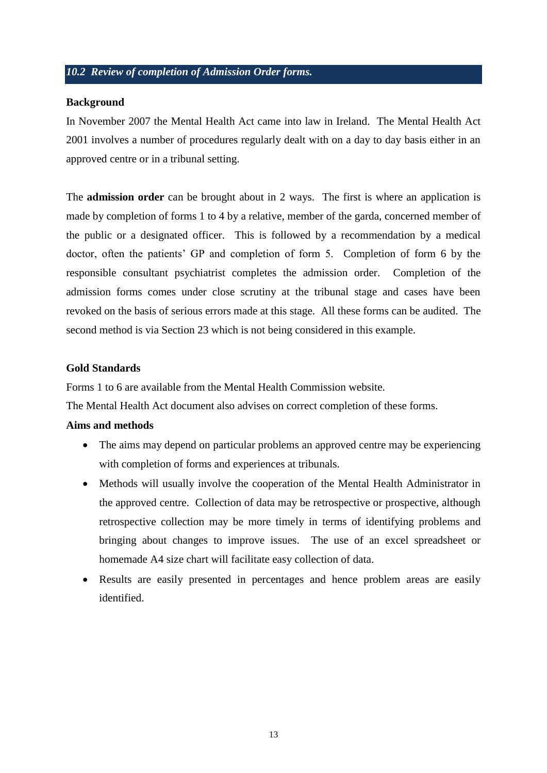#### <span id="page-12-0"></span>*10.2 Review of completion of Admission Order forms.*

#### **Background**

In November 2007 the Mental Health Act came into law in Ireland. The Mental Health Act 2001 involves a number of procedures regularly dealt with on a day to day basis either in an approved centre or in a tribunal setting.

The **admission order** can be brought about in 2 ways. The first is where an application is made by completion of forms 1 to 4 by a relative, member of the garda, concerned member of the public or a designated officer. This is followed by a recommendation by a medical doctor, often the patients' GP and completion of form 5. Completion of form 6 by the responsible consultant psychiatrist completes the admission order. Completion of the admission forms comes under close scrutiny at the tribunal stage and cases have been revoked on the basis of serious errors made at this stage. All these forms can be audited. The second method is via Section 23 which is not being considered in this example.

#### **Gold Standards**

Forms 1 to 6 are available from the Mental Health Commission website.

The Mental Health Act document also advises on correct completion of these forms.

#### **Aims and methods**

- The aims may depend on particular problems an approved centre may be experiencing with completion of forms and experiences at tribunals.
- Methods will usually involve the cooperation of the Mental Health Administrator in the approved centre. Collection of data may be retrospective or prospective, although retrospective collection may be more timely in terms of identifying problems and bringing about changes to improve issues. The use of an excel spreadsheet or homemade A4 size chart will facilitate easy collection of data.
- Results are easily presented in percentages and hence problem areas are easily identified.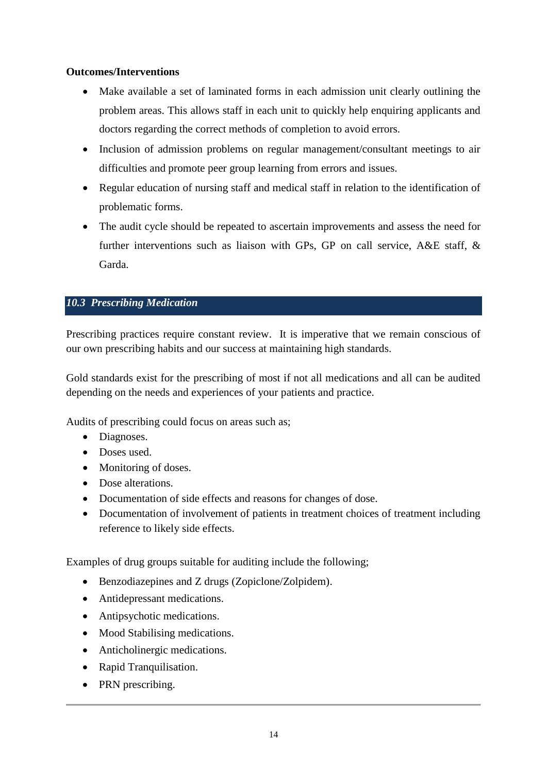#### **Outcomes/Interventions**

- Make available a set of laminated forms in each admission unit clearly outlining the problem areas. This allows staff in each unit to quickly help enquiring applicants and doctors regarding the correct methods of completion to avoid errors.
- Inclusion of admission problems on regular management/consultant meetings to air difficulties and promote peer group learning from errors and issues.
- Regular education of nursing staff and medical staff in relation to the identification of problematic forms.
- The audit cycle should be repeated to ascertain improvements and assess the need for further interventions such as liaison with GPs, GP on call service, A&E staff, & Garda.

#### <span id="page-13-0"></span>*10.3 Prescribing Medication*

Prescribing practices require constant review. It is imperative that we remain conscious of our own prescribing habits and our success at maintaining high standards.

Gold standards exist for the prescribing of most if not all medications and all can be audited depending on the needs and experiences of your patients and practice.

Audits of prescribing could focus on areas such as;

- Diagnoses.
- Doses used.
- Monitoring of doses.
- Dose alterations.
- Documentation of side effects and reasons for changes of dose.
- Documentation of involvement of patients in treatment choices of treatment including reference to likely side effects.

Examples of drug groups suitable for auditing include the following;

- Benzodiazepines and Z drugs (Zopiclone/Zolpidem).
- Antidepressant medications.
- Antipsychotic medications.
- Mood Stabilising medications.
- Anticholinergic medications.
- Rapid Tranquilisation.
- PRN prescribing.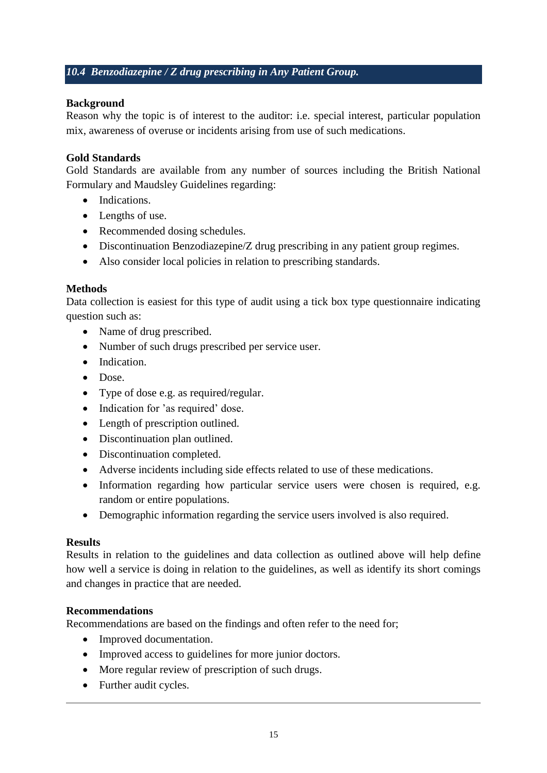#### <span id="page-14-0"></span>*10.4 Benzodiazepine / Z drug prescribing in Any Patient Group.*

#### **Background**

Reason why the topic is of interest to the auditor: i.e. special interest, particular population mix, awareness of overuse or incidents arising from use of such medications.

#### **Gold Standards**

Gold Standards are available from any number of sources including the British National Formulary and Maudsley Guidelines regarding:

- Indications.
- Lengths of use.
- Recommended dosing schedules.
- Discontinuation Benzodiazepine/Z drug prescribing in any patient group regimes.
- Also consider local policies in relation to prescribing standards.

#### **Methods**

Data collection is easiest for this type of audit using a tick box type questionnaire indicating question such as:

- Name of drug prescribed.
- Number of such drugs prescribed per service user.
- Indication.
- Dose.
- Type of dose e.g. as required/regular.
- Indication for 'as required' dose.
- Length of prescription outlined.
- Discontinuation plan outlined.
- Discontinuation completed.
- Adverse incidents including side effects related to use of these medications.
- Information regarding how particular service users were chosen is required, e.g. random or entire populations.
- Demographic information regarding the service users involved is also required.

#### **Results**

Results in relation to the guidelines and data collection as outlined above will help define how well a service is doing in relation to the guidelines, as well as identify its short comings and changes in practice that are needed.

#### **Recommendations**

Recommendations are based on the findings and often refer to the need for;

- Improved documentation.
- Improved access to guidelines for more junior doctors.
- More regular review of prescription of such drugs.
- Further audit cycles.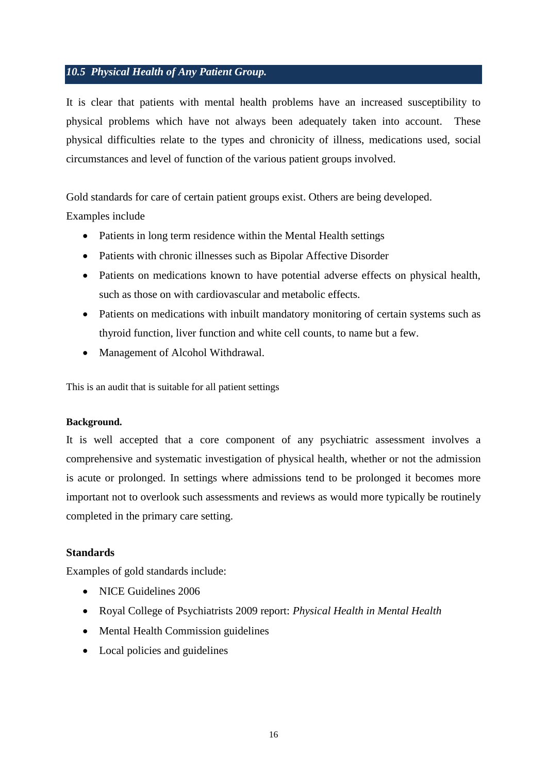#### <span id="page-15-0"></span>*10.5 Physical Health of Any Patient Group.*

It is clear that patients with mental health problems have an increased susceptibility to physical problems which have not always been adequately taken into account. These physical difficulties relate to the types and chronicity of illness, medications used, social circumstances and level of function of the various patient groups involved.

Gold standards for care of certain patient groups exist. Others are being developed. Examples include

- Patients in long term residence within the Mental Health settings
- Patients with chronic illnesses such as Bipolar Affective Disorder
- Patients on medications known to have potential adverse effects on physical health, such as those on with cardiovascular and metabolic effects.
- Patients on medications with inbuilt mandatory monitoring of certain systems such as thyroid function, liver function and white cell counts, to name but a few.
- Management of Alcohol Withdrawal.

This is an audit that is suitable for all patient settings

#### **Background.**

It is well accepted that a core component of any psychiatric assessment involves a comprehensive and systematic investigation of physical health, whether or not the admission is acute or prolonged. In settings where admissions tend to be prolonged it becomes more important not to overlook such assessments and reviews as would more typically be routinely completed in the primary care setting.

#### **Standards**

Examples of gold standards include:

- NICE Guidelines 2006
- Royal College of Psychiatrists 2009 report: *Physical Health in Mental Health*
- Mental Health Commission guidelines
- Local policies and guidelines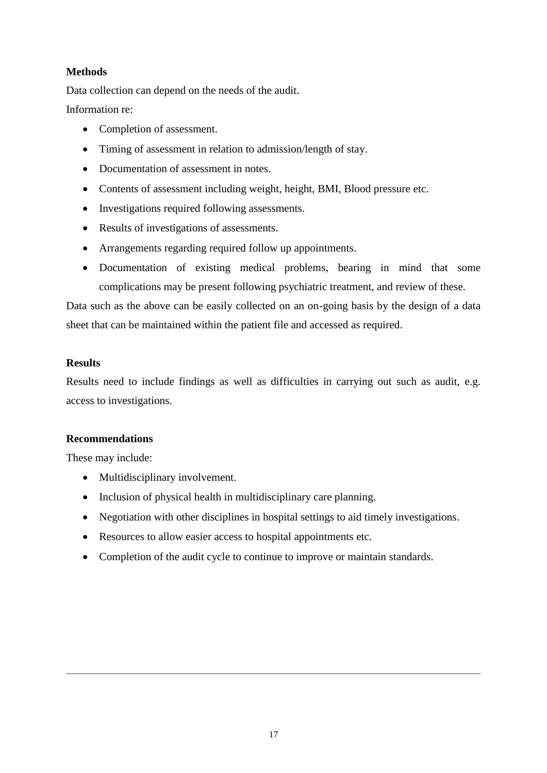#### **Methods**

Data collection can depend on the needs of the audit.

Information re:

- Completion of assessment.
- Timing of assessment in relation to admission/length of stay.
- Documentation of assessment in notes.
- Contents of assessment including weight, height, BMI, Blood pressure etc.
- Investigations required following assessments.
- Results of investigations of assessments.
- Arrangements regarding required follow up appointments.
- Documentation of existing medical problems, bearing in mind that some complications may be present following psychiatric treatment, and review of these.

Data such as the above can be easily collected on an on-going basis by the design of a data sheet that can be maintained within the patient file and accessed as required.

#### **Results**

Results need to include findings as well as difficulties in carrying out such as audit, e.g. access to investigations.

#### **Recommendations**

These may include:

- Multidisciplinary involvement.
- Inclusion of physical health in multidisciplinary care planning.
- Negotiation with other disciplines in hospital settings to aid timely investigations.
- Resources to allow easier access to hospital appointments etc.
- Completion of the audit cycle to continue to improve or maintain standards.